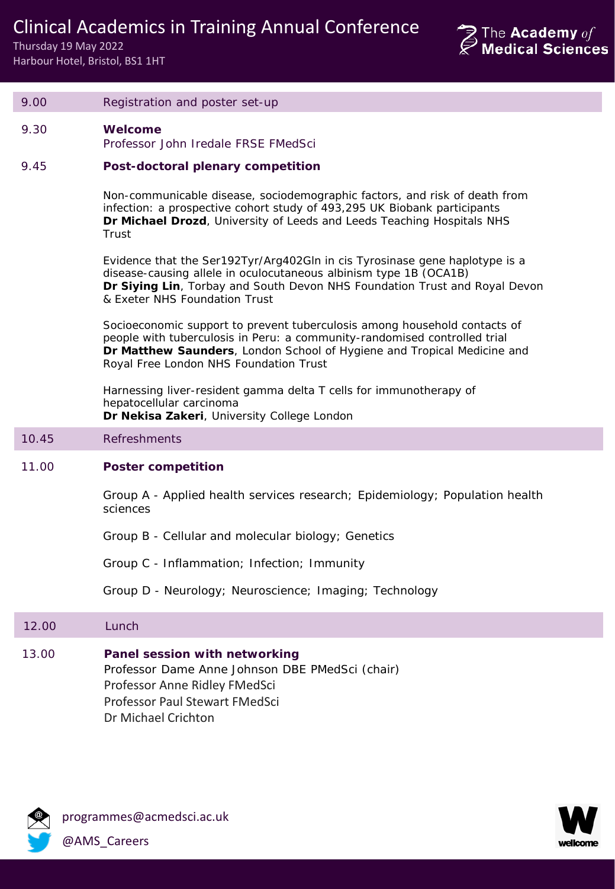Clinical Academics in Training Annual Conference

Thursday 19 May 2022 Harbour Hotel, Bristol, BS1 1HT



| 9.00  | Registration and poster set-up                                                                                                                                                                                                                                              |  |  |
|-------|-----------------------------------------------------------------------------------------------------------------------------------------------------------------------------------------------------------------------------------------------------------------------------|--|--|
| 9.30  | Welcome<br>Professor John Iredale FRSE FMedSci                                                                                                                                                                                                                              |  |  |
| 9.45  | Post-doctoral plenary competition                                                                                                                                                                                                                                           |  |  |
|       | Non-communicable disease, sociodemographic factors, and risk of death from<br>infection: a prospective cohort study of 493,295 UK Biobank participants<br>Dr Michael Drozd, University of Leeds and Leeds Teaching Hospitals NHS<br>Trust                                   |  |  |
|       | Evidence that the Ser192Tyr/Arg402GIn in cis Tyrosinase gene haplotype is a<br>disease-causing allele in oculocutaneous albinism type 1B (OCA1B)<br>Dr Siying Lin, Torbay and South Devon NHS Foundation Trust and Royal Devon<br>& Exeter NHS Foundation Trust             |  |  |
|       | Socioeconomic support to prevent tuberculosis among household contacts of<br>people with tuberculosis in Peru: a community-randomised controlled trial<br>Dr Matthew Saunders, London School of Hygiene and Tropical Medicine and<br>Royal Free London NHS Foundation Trust |  |  |
|       | Harnessing liver-resident gamma delta T cells for immunotherapy of<br>hepatocellular carcinoma<br>Dr Nekisa Zakeri, University College London                                                                                                                               |  |  |
| 10.45 | <b>Refreshments</b>                                                                                                                                                                                                                                                         |  |  |
| 11.00 | <b>Poster competition</b>                                                                                                                                                                                                                                                   |  |  |
|       | Group A - Applied health services research; Epidemiology; Population health<br>sciences                                                                                                                                                                                     |  |  |
|       | Group B - Cellular and molecular biology; Genetics                                                                                                                                                                                                                          |  |  |
|       | Group C - Inflammation; Infection; Immunity                                                                                                                                                                                                                                 |  |  |
|       | Group D - Neurology; Neuroscience; Imaging; Technology                                                                                                                                                                                                                      |  |  |
| 12.00 | Lunch                                                                                                                                                                                                                                                                       |  |  |
| 13.00 | Panel session with networking<br>Professor Dame Anne Johnson DBE PMedSci (chair)<br>Professor Anne Ridley FMedSci<br>Professor Paul Stewart FMedSci<br>Dr Michael Crichton                                                                                                  |  |  |